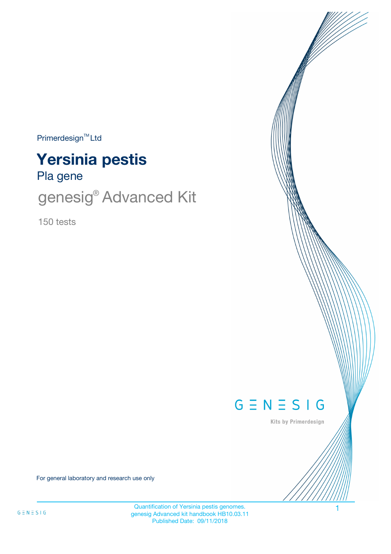$Primerdesign<sup>™</sup>Ltd$ 

# Pla gene **Yersinia pestis**

genesig® Advanced Kit

150 tests



Kits by Primerdesign

For general laboratory and research use only

Quantification of Yersinia pestis genomes. genesig Advanced kit handbook HB10.03.11 Published Date: 09/11/2018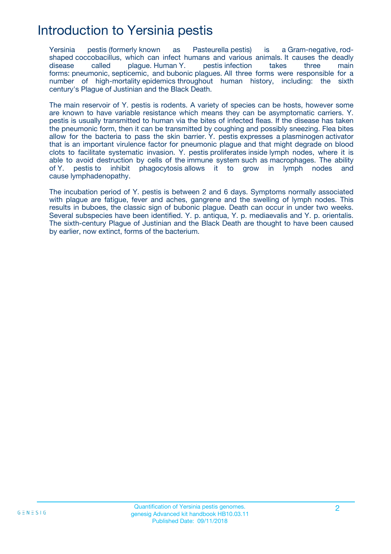## Introduction to Yersinia pestis

Yersinia pestis (formerly known as Pasteurella pestis) is a Gram-negative, rodshaped coccobacillus, which can infect humans and various animals. It causes the deadly disease called plague. Human Y. pestis infection takes three main forms: pneumonic, septicemic, and bubonic plagues. All three forms were responsible for a number of high-mortality epidemics throughout human history, including: the sixth century's Plague of Justinian and the Black Death.

The main reservoir of Y. pestis is rodents. A variety of species can be hosts, however some are known to have variable resistance which means they can be asymptomatic carriers. Y. pestis is usually transmitted to human via the bites of infected fleas. If the disease has taken the pneumonic form, then it can be transmitted by coughing and possibly sneezing. Flea bites allow for the bacteria to pass the skin barrier. Y. pestis expresses a plasminogen activator that is an important virulence factor for pneumonic plague and that might degrade on blood clots to facilitate systematic invasion. Y. pestis proliferates inside lymph nodes, where it is able to avoid destruction by cells of the immune system such as macrophages. The ability of Y. pestis to inhibit phagocytosis allows it to grow in lymph nodes and cause lymphadenopathy.

The incubation period of Y. pestis is between 2 and 6 days. Symptoms normally associated with plague are fatigue, fever and aches, gangrene and the swelling of lymph nodes. This results in buboes, the classic sign of bubonic plague. Death can occur in under two weeks. Several subspecies have been identified. Y. p. antiqua, Y. p. mediaevalis and Y. p. orientalis. The sixth-century Plague of Justinian and the Black Death are thought to have been caused by earlier, now extinct, forms of the bacterium.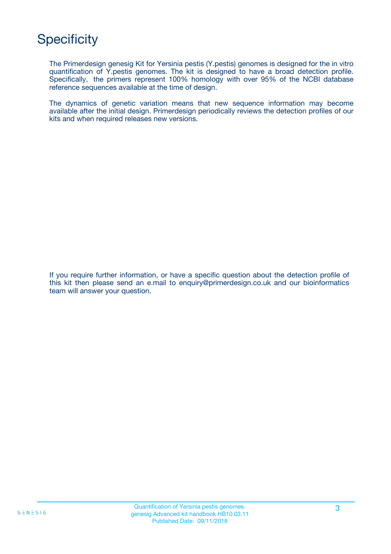# **Specificity**

The Primerdesign genesig Kit for Yersinia pestis (Y.pestis) genomes is designed for the in vitro quantification of Y.pestis genomes. The kit is designed to have a broad detection profile. Specifically, the primers represent 100% homology with over 95% of the NCBI database reference sequences available at the time of design.

The dynamics of genetic variation means that new sequence information may become available after the initial design. Primerdesign periodically reviews the detection profiles of our kits and when required releases new versions.

If you require further information, or have a specific question about the detection profile of this kit then please send an e.mail to enquiry@primerdesign.co.uk and our bioinformatics team will answer your question.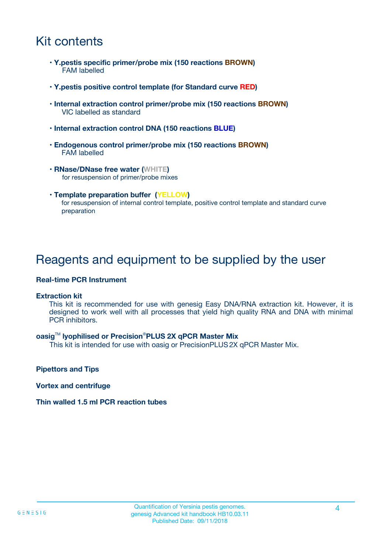## Kit contents

- **Y.pestis specific primer/probe mix (150 reactions BROWN)** FAM labelled
- **Y.pestis positive control template (for Standard curve RED)**
- **Internal extraction control primer/probe mix (150 reactions BROWN)** VIC labelled as standard
- **Internal extraction control DNA (150 reactions BLUE)**
- **Endogenous control primer/probe mix (150 reactions BROWN)** FAM labelled
- **RNase/DNase free water (WHITE)** for resuspension of primer/probe mixes
- **Template preparation buffer (YELLOW)** for resuspension of internal control template, positive control template and standard curve preparation

### Reagents and equipment to be supplied by the user

#### **Real-time PCR Instrument**

#### **Extraction kit**

This kit is recommended for use with genesig Easy DNA/RNA extraction kit. However, it is designed to work well with all processes that yield high quality RNA and DNA with minimal PCR inhibitors.

#### **oasig**TM **lyophilised or Precision**®**PLUS 2X qPCR Master Mix**

This kit is intended for use with oasig or PrecisionPLUS2X qPCR Master Mix.

**Pipettors and Tips**

**Vortex and centrifuge**

#### **Thin walled 1.5 ml PCR reaction tubes**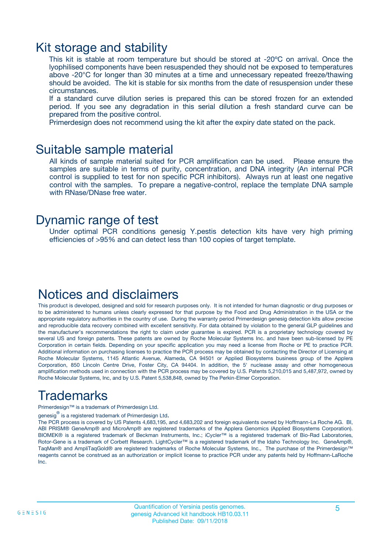### Kit storage and stability

This kit is stable at room temperature but should be stored at -20ºC on arrival. Once the lyophilised components have been resuspended they should not be exposed to temperatures above -20°C for longer than 30 minutes at a time and unnecessary repeated freeze/thawing should be avoided. The kit is stable for six months from the date of resuspension under these circumstances.

If a standard curve dilution series is prepared this can be stored frozen for an extended period. If you see any degradation in this serial dilution a fresh standard curve can be prepared from the positive control.

Primerdesign does not recommend using the kit after the expiry date stated on the pack.

### Suitable sample material

All kinds of sample material suited for PCR amplification can be used. Please ensure the samples are suitable in terms of purity, concentration, and DNA integrity (An internal PCR control is supplied to test for non specific PCR inhibitors). Always run at least one negative control with the samples. To prepare a negative-control, replace the template DNA sample with RNase/DNase free water.

### Dynamic range of test

Under optimal PCR conditions genesig Y.pestis detection kits have very high priming efficiencies of >95% and can detect less than 100 copies of target template.

### Notices and disclaimers

This product is developed, designed and sold for research purposes only. It is not intended for human diagnostic or drug purposes or to be administered to humans unless clearly expressed for that purpose by the Food and Drug Administration in the USA or the appropriate regulatory authorities in the country of use. During the warranty period Primerdesign genesig detection kits allow precise and reproducible data recovery combined with excellent sensitivity. For data obtained by violation to the general GLP guidelines and the manufacturer's recommendations the right to claim under guarantee is expired. PCR is a proprietary technology covered by several US and foreign patents. These patents are owned by Roche Molecular Systems Inc. and have been sub-licensed by PE Corporation in certain fields. Depending on your specific application you may need a license from Roche or PE to practice PCR. Additional information on purchasing licenses to practice the PCR process may be obtained by contacting the Director of Licensing at Roche Molecular Systems, 1145 Atlantic Avenue, Alameda, CA 94501 or Applied Biosystems business group of the Applera Corporation, 850 Lincoln Centre Drive, Foster City, CA 94404. In addition, the 5' nuclease assay and other homogeneous amplification methods used in connection with the PCR process may be covered by U.S. Patents 5,210,015 and 5,487,972, owned by Roche Molecular Systems, Inc, and by U.S. Patent 5,538,848, owned by The Perkin-Elmer Corporation.

# Trademarks

Primerdesign™ is a trademark of Primerdesign Ltd.

genesig $^\circledR$  is a registered trademark of Primerdesign Ltd.

The PCR process is covered by US Patents 4,683,195, and 4,683,202 and foreign equivalents owned by Hoffmann-La Roche AG. BI, ABI PRISM® GeneAmp® and MicroAmp® are registered trademarks of the Applera Genomics (Applied Biosystems Corporation). BIOMEK® is a registered trademark of Beckman Instruments, Inc.; iCycler™ is a registered trademark of Bio-Rad Laboratories, Rotor-Gene is a trademark of Corbett Research. LightCycler™ is a registered trademark of the Idaho Technology Inc. GeneAmp®, TaqMan® and AmpliTaqGold® are registered trademarks of Roche Molecular Systems, Inc., The purchase of the Primerdesign™ reagents cannot be construed as an authorization or implicit license to practice PCR under any patents held by Hoffmann-LaRoche Inc.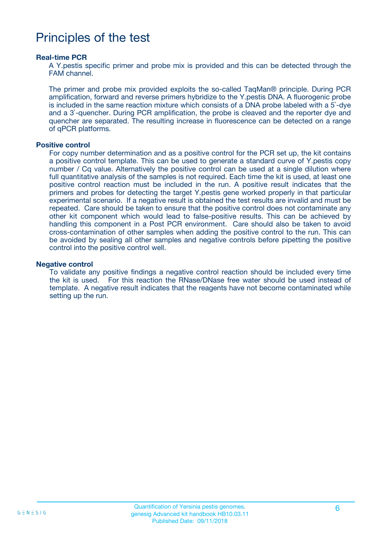## Principles of the test

#### **Real-time PCR**

A Y.pestis specific primer and probe mix is provided and this can be detected through the FAM channel.

The primer and probe mix provided exploits the so-called TaqMan® principle. During PCR amplification, forward and reverse primers hybridize to the Y.pestis DNA. A fluorogenic probe is included in the same reaction mixture which consists of a DNA probe labeled with a 5`-dye and a 3`-quencher. During PCR amplification, the probe is cleaved and the reporter dye and quencher are separated. The resulting increase in fluorescence can be detected on a range of qPCR platforms.

#### **Positive control**

For copy number determination and as a positive control for the PCR set up, the kit contains a positive control template. This can be used to generate a standard curve of Y.pestis copy number / Cq value. Alternatively the positive control can be used at a single dilution where full quantitative analysis of the samples is not required. Each time the kit is used, at least one positive control reaction must be included in the run. A positive result indicates that the primers and probes for detecting the target Y.pestis gene worked properly in that particular experimental scenario. If a negative result is obtained the test results are invalid and must be repeated. Care should be taken to ensure that the positive control does not contaminate any other kit component which would lead to false-positive results. This can be achieved by handling this component in a Post PCR environment. Care should also be taken to avoid cross-contamination of other samples when adding the positive control to the run. This can be avoided by sealing all other samples and negative controls before pipetting the positive control into the positive control well.

#### **Negative control**

To validate any positive findings a negative control reaction should be included every time the kit is used. For this reaction the RNase/DNase free water should be used instead of template. A negative result indicates that the reagents have not become contaminated while setting up the run.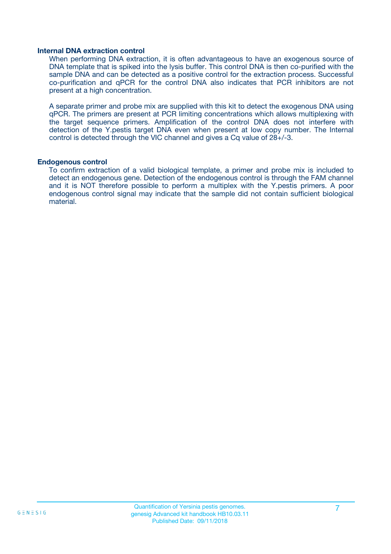#### **Internal DNA extraction control**

When performing DNA extraction, it is often advantageous to have an exogenous source of DNA template that is spiked into the lysis buffer. This control DNA is then co-purified with the sample DNA and can be detected as a positive control for the extraction process. Successful co-purification and qPCR for the control DNA also indicates that PCR inhibitors are not present at a high concentration.

A separate primer and probe mix are supplied with this kit to detect the exogenous DNA using qPCR. The primers are present at PCR limiting concentrations which allows multiplexing with the target sequence primers. Amplification of the control DNA does not interfere with detection of the Y.pestis target DNA even when present at low copy number. The Internal control is detected through the VIC channel and gives a Cq value of 28+/-3.

#### **Endogenous control**

To confirm extraction of a valid biological template, a primer and probe mix is included to detect an endogenous gene. Detection of the endogenous control is through the FAM channel and it is NOT therefore possible to perform a multiplex with the Y.pestis primers. A poor endogenous control signal may indicate that the sample did not contain sufficient biological material.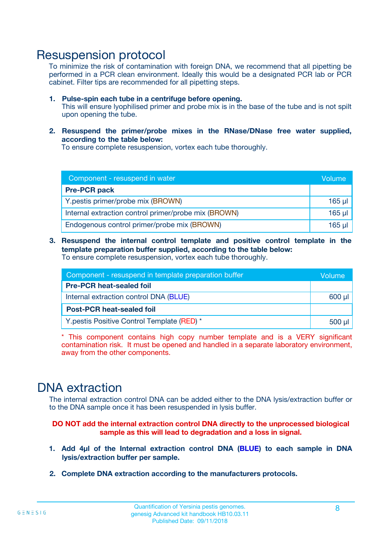### Resuspension protocol

To minimize the risk of contamination with foreign DNA, we recommend that all pipetting be performed in a PCR clean environment. Ideally this would be a designated PCR lab or PCR cabinet. Filter tips are recommended for all pipetting steps.

- **1. Pulse-spin each tube in a centrifuge before opening.** This will ensure lyophilised primer and probe mix is in the base of the tube and is not spilt upon opening the tube.
- **2. Resuspend the primer/probe mixes in the RNase/DNase free water supplied, according to the table below:**

To ensure complete resuspension, vortex each tube thoroughly.

| Component - resuspend in water                       |             |  |
|------------------------------------------------------|-------------|--|
| <b>Pre-PCR pack</b>                                  |             |  |
| Y.pestis primer/probe mix (BROWN)                    | $165$ µ     |  |
| Internal extraction control primer/probe mix (BROWN) | $165$ $\mu$ |  |
| Endogenous control primer/probe mix (BROWN)          | $165$ µ     |  |

**3. Resuspend the internal control template and positive control template in the template preparation buffer supplied, according to the table below:** To ensure complete resuspension, vortex each tube thoroughly.

| Component - resuspend in template preparation buffer |  |  |  |
|------------------------------------------------------|--|--|--|
| <b>Pre-PCR heat-sealed foil</b>                      |  |  |  |
| Internal extraction control DNA (BLUE)               |  |  |  |
| <b>Post-PCR heat-sealed foil</b>                     |  |  |  |
| Y.pestis Positive Control Template (RED) *           |  |  |  |

\* This component contains high copy number template and is a VERY significant contamination risk. It must be opened and handled in a separate laboratory environment, away from the other components.

### DNA extraction

The internal extraction control DNA can be added either to the DNA lysis/extraction buffer or to the DNA sample once it has been resuspended in lysis buffer.

**DO NOT add the internal extraction control DNA directly to the unprocessed biological sample as this will lead to degradation and a loss in signal.**

- **1. Add 4µl of the Internal extraction control DNA (BLUE) to each sample in DNA lysis/extraction buffer per sample.**
- **2. Complete DNA extraction according to the manufacturers protocols.**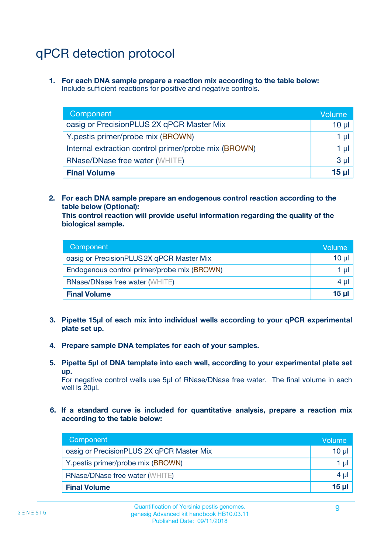# qPCR detection protocol

**1. For each DNA sample prepare a reaction mix according to the table below:** Include sufficient reactions for positive and negative controls.

| Component                                            | Volume   |
|------------------------------------------------------|----------|
| oasig or PrecisionPLUS 2X qPCR Master Mix            | $10 \mu$ |
| Y.pestis primer/probe mix (BROWN)                    | 1 µI     |
| Internal extraction control primer/probe mix (BROWN) | 1 µl     |
| <b>RNase/DNase free water (WHITE)</b>                | $3 \mu$  |
| <b>Final Volume</b>                                  | 15 µl    |

**2. For each DNA sample prepare an endogenous control reaction according to the table below (Optional):**

**This control reaction will provide useful information regarding the quality of the biological sample.**

| Component                                   | Volume          |
|---------------------------------------------|-----------------|
| oasig or PrecisionPLUS 2X qPCR Master Mix   | $10 \mu$        |
| Endogenous control primer/probe mix (BROWN) | 1 µI            |
| <b>RNase/DNase free water (WHITE)</b>       | 4 µl            |
| <b>Final Volume</b>                         | 15 <sub>µ</sub> |

- **3. Pipette 15µl of each mix into individual wells according to your qPCR experimental plate set up.**
- **4. Prepare sample DNA templates for each of your samples.**
- **5. Pipette 5µl of DNA template into each well, according to your experimental plate set up.**

For negative control wells use 5µl of RNase/DNase free water. The final volume in each well is 20ul.

**6. If a standard curve is included for quantitative analysis, prepare a reaction mix according to the table below:**

| Component                                 | Volume  |
|-------------------------------------------|---------|
| oasig or PrecisionPLUS 2X qPCR Master Mix | 10 µl   |
| Y.pestis primer/probe mix (BROWN)         | 1 µI    |
| <b>RNase/DNase free water (WHITE)</b>     | $4 \mu$ |
| <b>Final Volume</b>                       | 15 µl   |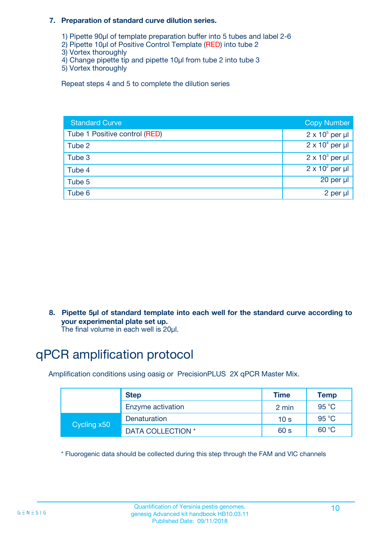#### **7. Preparation of standard curve dilution series.**

- 1) Pipette 90µl of template preparation buffer into 5 tubes and label 2-6
- 2) Pipette 10µl of Positive Control Template (RED) into tube 2
- 3) Vortex thoroughly
- 4) Change pipette tip and pipette 10µl from tube 2 into tube 3
- 5) Vortex thoroughly

Repeat steps 4 and 5 to complete the dilution series

| <b>Standard Curve</b>         | <b>Copy Number</b>     |
|-------------------------------|------------------------|
| Tube 1 Positive control (RED) | $2 \times 10^5$ per µl |
| Tube 2                        | $2 \times 10^4$ per µl |
| Tube 3                        | $2 \times 10^3$ per µl |
| Tube 4                        | $2 \times 10^2$ per µl |
| Tube 5                        | 20 per µl              |
| Tube 6                        | 2 per µl               |

**8. Pipette 5µl of standard template into each well for the standard curve according to your experimental plate set up.**

#### The final volume in each well is 20µl.

# qPCR amplification protocol

Amplification conditions using oasig or PrecisionPLUS 2X qPCR Master Mix.

|             | <b>Step</b>       | <b>Time</b>     | Temp    |
|-------------|-------------------|-----------------|---------|
|             | Enzyme activation | 2 min           | 95 °C   |
| Cycling x50 | Denaturation      | 10 <sub>s</sub> | 95 $°C$ |
|             | DATA COLLECTION * | 60 s            | 60 °C   |

\* Fluorogenic data should be collected during this step through the FAM and VIC channels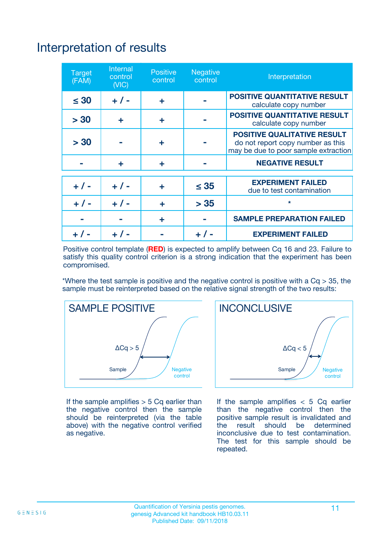# Interpretation of results

| <b>Target</b><br>(FAM) | <b>Internal</b><br>control<br>(NIC) | <b>Positive</b><br>control | <b>Negative</b><br>control | Interpretation                                                                                                  |
|------------------------|-------------------------------------|----------------------------|----------------------------|-----------------------------------------------------------------------------------------------------------------|
| $\leq 30$              | $+ 1 -$                             | ÷                          |                            | <b>POSITIVE QUANTITATIVE RESULT</b><br>calculate copy number                                                    |
| > 30                   | ٠                                   | ÷                          |                            | <b>POSITIVE QUANTITATIVE RESULT</b><br>calculate copy number                                                    |
| > 30                   |                                     | ÷                          |                            | <b>POSITIVE QUALITATIVE RESULT</b><br>do not report copy number as this<br>may be due to poor sample extraction |
|                        | ÷                                   | ÷                          |                            | <b>NEGATIVE RESULT</b>                                                                                          |
| $+ 1 -$                | $+ 1 -$                             | ÷                          | $\leq$ 35                  | <b>EXPERIMENT FAILED</b><br>due to test contamination                                                           |
| $+$ / -                | $+ 1 -$                             | ÷                          | > 35                       | $\star$                                                                                                         |
|                        |                                     | ÷                          |                            | <b>SAMPLE PREPARATION FAILED</b>                                                                                |
|                        |                                     |                            | $+$ /                      | <b>EXPERIMENT FAILED</b>                                                                                        |

Positive control template (**RED**) is expected to amplify between Cq 16 and 23. Failure to satisfy this quality control criterion is a strong indication that the experiment has been compromised.

\*Where the test sample is positive and the negative control is positive with a  $Ca > 35$ , the sample must be reinterpreted based on the relative signal strength of the two results:



If the sample amplifies  $> 5$  Cq earlier than the negative control then the sample should be reinterpreted (via the table above) with the negative control verified as negative.



If the sample amplifies  $< 5$  Cq earlier than the negative control then the positive sample result is invalidated and<br>the result should be determined  $the$  result should be inconclusive due to test contamination. The test for this sample should be repeated.